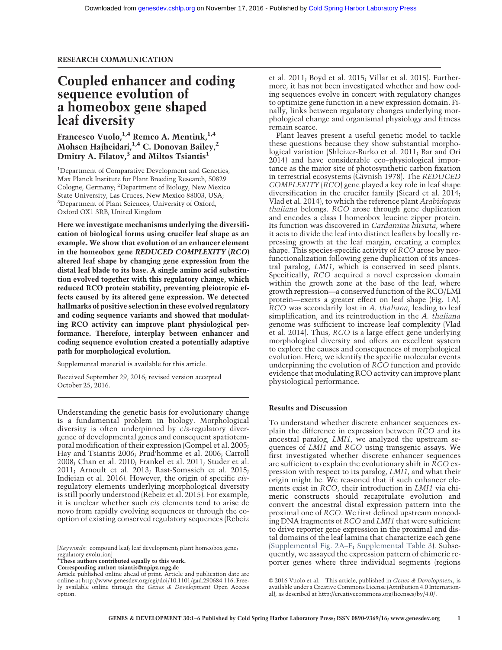# Coupled enhancer and coding sequence evolution of a homeobox gene shaped leaf diversity

Francesco Vuolo, <sup>1,4</sup> Remco A. Mentink, <sup>1,4</sup> Mohsen Hajheidari,<sup>1,4</sup> C. Donovan Bailey,<sup>2</sup> Dmitry A. Filatov, $3$  and Miltos Tsiantis<sup>1</sup>

<sup>1</sup>Department of Comparative Development and Genetics, Max Planck Institute for Plant Breeding Research, 50829 Cologne, Germany; <sup>2</sup>Department of Biology, New Mexico State University, Las Cruces, New Mexico 88003, USA; 3 Department of Plant Sciences, University of Oxford, Oxford OX1 3RB, United Kingdom

Here we investigate mechanisms underlying the diversification of biological forms using crucifer leaf shape as an example. We show that evolution of an enhancer element in the homeobox gene REDUCED COMPLEXITY (RCO) altered leaf shape by changing gene expression from the distal leaf blade to its base. A single amino acid substitution evolved together with this regulatory change, which reduced RCO protein stability, preventing pleiotropic effects caused by its altered gene expression. We detected hallmarks of positive selection in these evolved regulatory and coding sequence variants and showed that modulating RCO activity can improve plant physiological performance. Therefore, interplay between enhancer and coding sequence evolution created a potentially adaptive path for morphological evolution.

Supplemental material is available for this article.

Received September 29, 2016; revised version accepted October 25, 2016.

Understanding the genetic basis for evolutionary change is a fundamental problem in biology. Morphological diversity is often underpinned by cis-regulatory divergence of developmental genes and consequent spatiotemporal modification of their expression (Gompel et al. 2005; Hay and Tsiantis 2006; Prud'homme et al. 2006; Carroll 2008; Chan et al. 2010; Frankel et al. 2011; Studer et al. 2011; Arnoult et al. 2013; Rast-Somssich et al. 2015; Indjeian et al. 2016). However, the origin of specific cisregulatory elements underlying morphological diversity is still poorly understood (Rebeiz et al. 2015). For example, it is unclear whether such cis elements tend to arise de novo from rapidly evolving sequences or through the cooption of existing conserved regulatory sequences (Rebeiz

[Keywords: compound leaf; leaf development; plant homeobox gene; regulatory evolution]

<sup>4</sup>These authors contributed equally to this work.

Corresponding author: [tsiantis@mpipz.mpg.de](mailto:tsiantis@mpipz.mpg.de)

et al. 2011; Boyd et al. 2015; Villar et al. 2015). Furthermore, it has not been investigated whether and how coding sequences evolve in concert with regulatory changes to optimize gene function in a new expression domain. Finally, links between regulatory changes underlying morphological change and organismal physiology and fitness remain scarce.

Plant leaves present a useful genetic model to tackle these questions because they show substantial morphological variation (Shleizer-Burko et al. 2011; Bar and Ori 2014) and have considerable eco–physiological importance as the major site of photosynthetic carbon fixation in terrestrial ecosystems (Givnish 1978). The REDUCED COMPLEXITY (RCO) gene played a key role in leaf shape diversification in the crucifer family (Sicard et al. 2014; Vlad et al. 2014), to which the reference plant Arabidopsis thaliana belongs. RCO arose through gene duplication and encodes a class I homeobox leucine zipper protein. Its function was discovered in Cardamine hirsuta, where it acts to divide the leaf into distinct leaflets by locally repressing growth at the leaf margin, creating a complex shape. This species-specific activity of RCO arose by neofunctionalization following gene duplication of its ancestral paralog, LMI1, which is conserved in seed plants. Specifically, RCO acquired a novel expression domain within the growth zone at the base of the leaf, where growth repression—a conserved function of the RCO/LMI protein—exerts a greater effect on leaf shape (Fig. 1A). RCO was secondarily lost in A. thaliana, leading to leaf simplification, and its reintroduction in the A. thaliana genome was sufficient to increase leaf complexity (Vlad et al. 2014). Thus, RCO is a large effect gene underlying morphological diversity and offers an excellent system to explore the causes and consequences of morphological evolution. Here, we identify the specific molecular events underpinning the evolution of RCO function and provide evidence that modulating RCO activity can improve plant physiological performance.

### Results and Discussion

To understand whether discrete enhancer sequences explain the difference in expression between RCO and its ancestral paralog, LMI1, we analyzed the upstream sequences of LMI1 and RCO using transgenic assays. We first investigated whether discrete enhancer sequences are sufficient to explain the evolutionary shift in RCO expression with respect to its paralog, LMI1, and what their origin might be. We reasoned that if such enhancer elements exist in RCO, their introduction in LMI1 via chimeric constructs should recapitulate evolution and convert the ancestral distal expression pattern into the proximal one of RCO. We first defined upstream noncoding DNA fragments of RCO and LMI1 that were sufficient to drive reporter gene expression in the proximal and distal domains of the leaf lamina that characterize each gene [\(Supplemental Fig. 2A](http://genesdev.cshlp.org/lookup/suppl/doi:10.1101/gad.290684.116/-/DC1)–E; [Supplemental Table 3](http://genesdev.cshlp.org/lookup/suppl/doi:10.1101/gad.290684.116/-/DC1)). Subsequently, we assayed the expression pattern of chimeric reporter genes where three individual segments (regions

Article published online ahead of print. Article and publication date are online at [http://www.genesdev.org/cgi/doi/10.1101/gad.290684.116.](http://www.genesdev.org/cgi/doi/10.1101/gad.290684.116) Freely available online through the Genes & Development Open Access option.

[<sup>© 2016</sup> Vuolo et al.](http://genesdev.cshlp.org/site/misc/terms.xhtml) This article, published in Genes & Development, is available under a Creative Commons License (Attribution 4.0 International), as described at<http://creativecommons.org/licenses/by/4.0/>.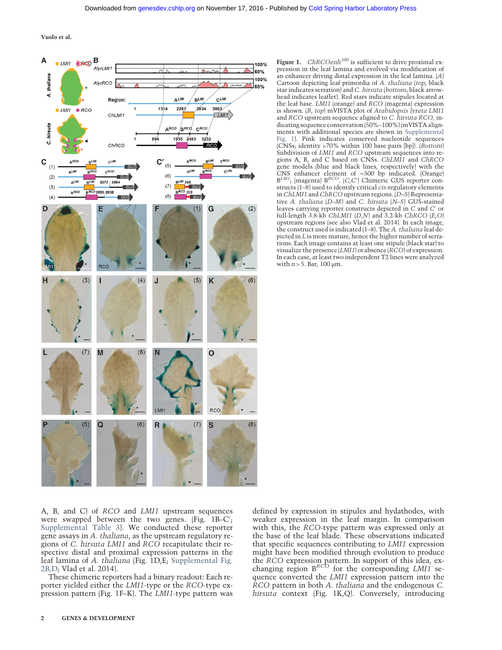Vuolo et al.



Figure 1. ChRCOenh<sup>500</sup> is sufficient to drive proximal expression in the leaf lamina and evolved via modification of an enhancer driving distal expression in the leaf lamina. (A) Cartoon depicting leaf primordia of A. thaliana (top; black star indicates serration) and C. hirsuta (bottom; black arrowhead indicates leaflet). Red stars indicate stipules located at the leaf base. LMI1 (orange) and RCO (magenta) expression is shown. (B, top) mVISTA plot of Arabidopsis lyrata LMI1 and RCO upstream sequence aligned to C. hirsuta RCO, indicating sequence conservation (50%–100%) (mVISTA alignments with additional species are shown in [Supplemental](http://genesdev.cshlp.org/lookup/suppl/doi:10.1101/gad.290684.116/-/DC1) [Fig. 1](http://genesdev.cshlp.org/lookup/suppl/doi:10.1101/gad.290684.116/-/DC1)). Pink indicates conserved nucleotide sequences  $|{\overline{\mathrm{CN}}}\mathrm{Ss}|$ ; identity >70% within 100 base pairs [bp]). ( $\overline{B}$ ottom) Subdivision of LMI1 and RCO upstream sequences into regions A, B, and C based on CNSs. ChLMI1 and ChRCO gene models (blue and black lines, respectively) with the CNS enhancer element of ∼500 bp indicated. (Orange) B<sup>LM1</sup>; (magenta) B<sup>RCO</sup>. (C,C') Chimeric GUS reporter constructs (1–8) used to identify critical cis-regulatory elements in ChLMI1 and ChRCO upstream regions. (D–S) Representative A. thaliana (D–M) and C. hirsuta (N–S) GUS-stained leaves carrying reporter constructs depicted in C and C′ or full-length  $3.8$ -kb ChLMI1 (D,N) and  $3.2$ -kb ChRCO (E,O) upstream regions (see also Vlad et al. 2014). In each image, the construct used is indicated (1–8). The A. thaliana leaf depicted in L is more mature, hence the higher number of serrations. Each image contains at least one stipule (black star) to visualize the presence (LMI1) or absence (RCO) of expression. In each case, at least two independent T2 lines were analyzed with  $n > 5$ . Bar, 100  $\mu$ m.

A, B, and C) of RCO and LMI1 upstream sequences were swapped between the two genes. (Fig. 1B–C′ ; [Supplemental Table 3](http://genesdev.cshlp.org/lookup/suppl/doi:10.1101/gad.290684.116/-/DC1)). We conducted these reporter gene assays in A. thaliana, as the upstream regulatory regions of C. hirsuta LMI1 and RCO recapitulate their respective distal and proximal expression patterns in the leaf lamina of A. thaliana (Fig. 1D,E; [Supplemental Fig.](http://genesdev.cshlp.org/lookup/suppl/doi:10.1101/gad.290684.116/-/DC1) [2B,D](http://genesdev.cshlp.org/lookup/suppl/doi:10.1101/gad.290684.116/-/DC1); Vlad et al. 2014).

These chimeric reporters had a binary readout: Each reporter yielded either the LMI1-type or the RCO-type expression pattern (Fig. 1F–K). The LMI1-type pattern was defined by expression in stipules and hydathodes, with weaker expression in the leaf margin. In comparison with this, the RCO-type pattern was expressed only at the base of the leaf blade. These observations indicated that specific sequences contributing to LMI1 expression might have been modified through evolution to produce the *RCO* expression pattern. In support of this idea, ex-<br>changing region  $B^{RCO}$  for the corresponding *LMI1* sequence converted the LMI1 expression pattern into the RCO pattern in both A. thaliana and the endogenous C. hirsuta context (Fig. 1K,Q). Conversely, introducing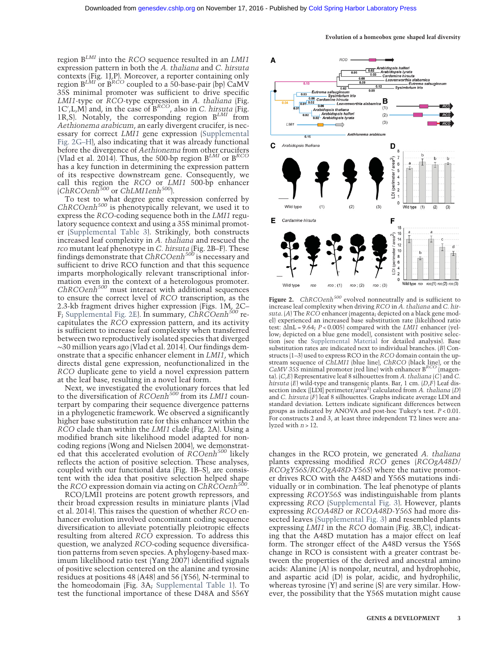region  $B^{LMI}$  into the RCO sequence resulted in an LMI1 expression pattern in both the A. thaliana and C. hirsuta contexts (Fig. 1J,P). Moreover, a reporter containing only region  $B^{LMI}$  or  $B^{RCO}$  coupled to a 50-base-pair (bp)  $\breve{C}aM\acute{V}$ 35S minimal promoter was sufficient to drive specific LMI1-type or RCO-type expression in A. thaliana (Fig.  $1C'$ , L, M) and, in the case of  $B^{RCO}$ , also in C. hirsuta (Fig.  $1R, S$ ). Notably, the corresponding region  $B^{LMI}$  from Aethionema arabicum, an early divergent crucifer, is necessary for correct LMI1 gene expression [\(Supplemental](http://genesdev.cshlp.org/lookup/suppl/doi:10.1101/gad.290684.116/-/DC1) [Fig. 2G](http://genesdev.cshlp.org/lookup/suppl/doi:10.1101/gad.290684.116/-/DC1)–H), also indicating that it was already functional before the divergence of Aethionema from other crucifers (Vlad et al. 2014). Thus, the 500-bp region  $B^{LMI}$  or  $B^{RCO}$ has a key function in determining the expression pattern of its respective downstream gene. Consequently, we call this region the RCO or LMI1 500-bp enhancer<br>(ChRCOenh<sup>500</sup> or ChLMI1enh<sup>500</sup>).

To test to what degree gene expression conferred by  $ChRCOenh<sup>500</sup>$  is phenotypically relevant, we used it to express the RCO-coding sequence both in the LMI1 regulatory sequence context and using a 35S minimal promoter [\(Supplemental Table 3\)](http://genesdev.cshlp.org/lookup/suppl/doi:10.1101/gad.290684.116/-/DC1). Strikingly, both constructs increased leaf complexity in A. thaliana and rescued the rco mutant leaf phenotype in C. hirsuta (Fig. 2B–F). These findings demonstrate that  $ChRCOenh<sup>500</sup>$  is necessary and sufficient to drive RCO function and that this sequence imparts morphologically relevant transcriptional information even in the context of a heterologous promoter.  $ChRCoenh<sup>500</sup>$  must interact with additional sequences to ensure the correct level of RCO transcription, as the 2.3-kb fragment drives higher expression (Figs. 1M, 2C– F; [Supplemental Fig. 2E](http://genesdev.cshlp.org/lookup/suppl/doi:10.1101/gad.290684.116/-/DC1)). In summary, ChRCOenh<sup>500</sup> recapitulates the RCO expression pattern, and its activity is sufficient to increase leaf complexity when transferred between two reproductively isolated species that diverged ∼30 million years ago (Vlad et al. 2014). Our findings demonstrate that a specific enhancer element in LMI1, which directs distal gene expression, neofunctionalized in the RCO duplicate gene to yield a novel expression pattern at the leaf base, resulting in a novel leaf form.

Next, we investigated the evolutionary forces that led to the diversification of RCOenh<sup>500</sup> from its LMI1 counterpart by comparing their sequence divergence patterns in a phylogenetic framework. We observed a significantly higher base substitution rate for this enhancer within the RCO clade than within the LMI1 clade (Fig. 2A). Using a modified branch site likelihood model adapted for noncoding regions (Wong and Nielsen 2004), we demonstrated that this accelerated evolution of  $\ddot{R}COenh^{500}$  likely reflects the action of positive selection. These analyses, coupled with our functional data (Fig. 1B–S), are consistent with the idea that positive selection helped shape the RCO expression domain via acting on  $ChRCOenh<sup>50</sup>$ 

RCO/LMI1 proteins are potent growth repressors, and their broad expression results in miniature plants (Vlad et al. 2014). This raises the question of whether RCO enhancer evolution involved concomitant coding sequence diversification to alleviate potentially pleiotropic effects resulting from altered RCO expression. To address this question, we analyzed RCO-coding sequence diversification patterns from seven species. A phylogeny-based maximum likelihood ratio test (Yang 2007) identified signals of positive selection centered on the alanine and tyrosine residues at positions 48 (A48) and 56 (Y56), N-terminal to the homeodomain (Fig. 3A; [Supplemental Table 1\)](http://genesdev.cshlp.org/lookup/suppl/doi:10.1101/gad.290684.116/-/DC1). To test the functional importance of these D48A and S56Y



Figure 2. ChRCOenh<sup>500</sup> evolved nonneutrally and is sufficient to increase leaf complexity when driving RCO in A. thaliana and C. hirsuta. (A) The RCO enhancer (magenta; depicted on a black gene model) experienced an increased base substitution rate (likelihood ratio test:  $\Delta \ln L = 9.64$ ;  $P < 0.005$  compared with the *LMI1* enhancer (yellow; depicted on a blue gene model), consistent with positive selection (see the [Supplemental Material](http://genesdev.cshlp.org/lookup/suppl/doi:10.1101/gad.290684.116/-/DC1) for detailed analysis). Base substitution rates are indicated next to individual branches. (B) Constructs (1–3) used to express RCO in the RCO domain contain the upstream sequence of ChLMI1 (blue line), ChRCO (black line), or the  $CaMV 35S$  minimal promoter (red line) with enhancer  $B^{RCO}$  (magenta).  $(C,E)$  Representative leaf 8 silhouettes from A. thaliana  $(C)$  and C. hirsuta  $(E)$  wild-type and transgenic plants. Bar, 1 cm.  $(D,F)$  Leaf dissection index ([LDI] perimeter/area<sup>2</sup>) calculated from A. thaliana (D) and C. hirsuta (F) leaf 8 silhouettes. Graphs indicate average LDI and standard deviation. Letters indicate significant differences between groups as indicated by ANOVA and post-hoc Tukey's test. P < 0.01. For constructs 2 and 3, at least three independent T2 lines were analyzed with  $n > 12$ .

changes in the RCO protein, we generated A. thaliana plants expressing modified RCO genes (RCOgA48D/ RCOgY56S/RCOgA48D-Y56S) where the native promoter drives RCO with the A48D and Y56S mutations individually or in combination. The leaf phenotype of plants expressing RCOY56S was indistinguishable from plants expressing RCO ([Supplemental Fig. 3\)](http://genesdev.cshlp.org/lookup/suppl/doi:10.1101/gad.290684.116/-/DC1). However, plants expressing RCOA48D or RCOA48D-Y56S had more dissected leaves ([Supplemental Fig. 3](http://genesdev.cshlp.org/lookup/suppl/doi:10.1101/gad.290684.116/-/DC1)) and resembled plants expressing LMI1 in the RCO domain (Fig. 3B,C), indicating that the A48D mutation has a major effect on leaf form. The stronger effect of the A48D versus the Y56S change in RCO is consistent with a greater contrast between the properties of the derived and ancestral amino acids: Alanine (A) is nonpolar, neutral, and hydrophobic, and aspartic acid (D) is polar, acidic, and hydrophilic, whereas tyrosine (Y) and serine (S) are very similar. However, the possibility that the Y56S mutation might cause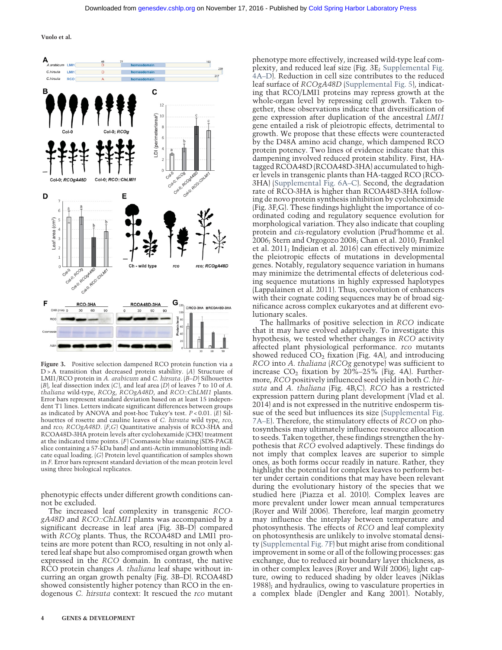Vuolo et al.



Figure 3. Positive selection dampened RCO protein function via a  $D > A$  transition that decreased protein stability.  $(A)$  Structure of LMI1/RCO protein in A. arabicum and C. hirsuta. (B–D) Silhouettes  $(B)$ , leaf dissection index  $(C)$ , and leaf area  $(D)$  of leaves 7 to 10 of A. thaliana wild-type, RCOg, RCOgA48D, and RCO::ChLMI1 plants. Error bars represent standard deviation based on at least 15 independent T1 lines. Letters indicate significant differences between groups as indicated by ANOVA and post-hoc Tukey's test.  $P < 0.01$ . (E) Silhouettes of rosette and cauline leaves of C. hirsuta wild type, rco, and rco; RCOgA48D. [F,G] Quantitative analysis of RCO-3HA and RCOA48D-3HA protein levels after cyclohexamide (CHX) treatment at the indicated time points.  $(F)$  Coomassie blue staining (SDS-PAGE slice containing a 57-kDa band) and anti-Actin immunoblotting indicate equal loading. (G) Protein level quantification of samples shown in F. Error bars represent standard deviation of the mean protein level using three biological replicates.

phenotypic effects under different growth conditions cannot be excluded.

The increased leaf complexity in transgenic RCOgA48D and RCO::ChLMI1 plants was accompanied by a significant decrease in leaf area (Fig. 3B–D) compared with RCOg plants. Thus, the RCOA48D and LMI1 proteins are more potent than RCO, resulting in not only altered leaf shape but also compromised organ growth when expressed in the RCO domain. In contrast, the native RCO protein changes A. thaliana leaf shape without incurring an organ growth penalty (Fig. 3B–D). RCOA48D showed consistently higher potency than RCO in the endogenous C. hirsuta context: It rescued the rco mutant

phenotype more effectively, increased wild-type leaf complexity, and reduced leaf size (Fig. 3E; [Supplemental Fig.](http://genesdev.cshlp.org/lookup/suppl/doi:10.1101/gad.290684.116/-/DC1) [4A](http://genesdev.cshlp.org/lookup/suppl/doi:10.1101/gad.290684.116/-/DC1)–D). Reduction in cell size contributes to the reduced leaf surface of RCOgA48D ([Supplemental Fig. 5](http://genesdev.cshlp.org/lookup/suppl/doi:10.1101/gad.290684.116/-/DC1)), indicating that RCO/LMI1 proteins may repress growth at the whole-organ level by repressing cell growth. Taken together, these observations indicate that diversification of gene expression after duplication of the ancestral LMI1 gene entailed a risk of pleiotropic effects, detrimental to growth. We propose that these effects were counteracted by the D48A amino acid change, which dampened RCO protein potency. Two lines of evidence indicate that this dampening involved reduced protein stability. First, HAtagged RCOA48D (RCOA48D-3HA) accumulated to higher levels in transgenic plants than HA-tagged RCO (RCO-3HA) ([Supplemental Fig. 6A](http://genesdev.cshlp.org/lookup/suppl/doi:10.1101/gad.290684.116/-/DC1)–C). Second, the degradation rate of RCO-3HA is higher than RCOA48D-3HA following de novo protein synthesis inhibition by cycloheximide (Fig. 3F,G). These findings highlight the importance of coordinated coding and regulatory sequence evolution for morphological variation. They also indicate that coupling protein and cis-regulatory evolution (Prud'homme et al. 2006; Stern and Orgogozo 2008; Chan et al. 2010; Frankel et al. 2011; Indjeian et al. 2016) can effectively minimize the pleiotropic effects of mutations in developmental genes. Notably, regulatory sequence variation in humans may minimize the detrimental effects of deleterious coding sequence mutations in highly expressed haplotypes (Lappalainen et al. 2011). Thus, coevolution of enhancers with their cognate coding sequences may be of broad significance across complex eukaryotes and at different evolutionary scales.

The hallmarks of positive selection in RCO indicate that it may have evolved adaptively. To investigate this hypothesis, we tested whether changes in RCO activity affected plant physiological performance. rco mutants showed reduced  $CO<sub>2</sub>$  fixation (Fig. 4A), and introducing RCO into A. thaliana (RCOg genotype) was sufficient to increase  $CO<sub>2</sub>$  fixation by 20%–25% (Fig. 4A). Furthermore, RCO positively influenced seed yield in both C. hirsuta and A. thaliana (Fig. 4B,C). RCO has a restricted expression pattern during plant development (Vlad et al. 2014) and is not expressed in the nutritive endosperm tissue of the seed but influences its size ([Supplemental Fig.](http://genesdev.cshlp.org/lookup/suppl/doi:10.1101/gad.290684.116/-/DC1) [7A](http://genesdev.cshlp.org/lookup/suppl/doi:10.1101/gad.290684.116/-/DC1)–E). Therefore, the stimulatory effects of RCO on photosynthesis may ultimately influence resource allocation to seeds. Taken together, these findings strengthen the hypothesis that RCO evolved adaptively. These findings do not imply that complex leaves are superior to simple ones, as both forms occur readily in nature. Rather, they highlight the potential for complex leaves to perform better under certain conditions that may have been relevant during the evolutionary history of the species that we studied here (Piazza et al. 2010). Complex leaves are more prevalent under lower mean annual temperatures (Royer and Wilf 2006). Therefore, leaf margin geometry may influence the interplay between temperature and photosynthesis. The effects of RCO and leaf complexity on photosynthesis are unlikely to involve stomatal density ([Supplemental Fig. 7F\)](http://genesdev.cshlp.org/lookup/suppl/doi:10.1101/gad.290684.116/-/DC1) but might arise from conditional improvement in some or all of the following processes: gas exchange, due to reduced air boundary layer thickness, as in other complex leaves (Royer and Wilf 2006); light capture, owing to reduced shading by older leaves (Niklas 1988); and hydraulics, owing to vasculature properties in a complex blade (Dengler and Kang 2001). Notably,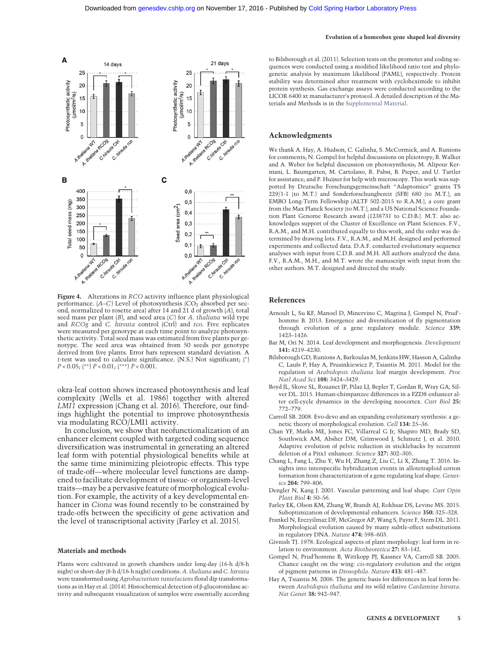#### Evolution of a homeobox gene shaped leaf diversity



Figure 4. Alterations in RCO activity influence plant physiological performance.  $(A-C)$  Level of photosynthesis  $(CO<sub>2</sub>$  absorbed per second, normalized to rosette area) after 14 and 21 d of growth (A), total seed mass per plant  $(B)$ , and seed area  $(C)$  for A. thaliana wild type and RCOg and C. hirsuta control (Ctrl) and rco. Five replicates were measured per genotype at each time point to analyze photosynthetic activity. Total seed mass was estimated from five plants per genotype. The seed area was obtained from 50 seeds per genotype derived from five plants. Error bars represent standard deviation. A t-test was used to calculate significance. (N.S.) Not significant; (∗)  $P < 0.05$ ;  $\binom{**}{P}$   $P < 0.01$ ;  $\binom{***}{P}$   $P < 0.001$ .

okra-leaf cotton shows increased photosynthesis and leaf complexity (Wells et al. 1986) together with altered LMI1 expression (Chang et al. 2016). Therefore, our findings highlight the potential to improve photosynthesis via modulating RCO/LMI1 activity.

In conclusion, we show that neofunctionalization of an enhancer element coupled with targeted coding sequence diversification was instrumental in generating an altered leaf form with potential physiological benefits while at the same time minimizing pleiotropic effects. This type of trade-off—where molecular level functions are dampened to facilitate development of tissue- or organism-level traits—may be a pervasive feature of morphological evolution. For example, the activity of a key developmental enhancer in Ciona was found recently to be constrained by trade-offs between the specificity of gene activation and the level of transcriptional activity (Farley et al. 2015).

#### Materials and methods

Plants were cultivated in growth chambers under long-day (16-h d/8-h night) or short-day (8-h d/16-h night) conditions. A. thaliana and C. hirsuta were transformed using Agrobacterium tumefaciens floral dip transformations as in Hay et al. (2014). Histochemical detection of β-glucoronidase activity and subsequent visualization of samples were essentially according to Bilsborough et al. (2011). Selection tests on the promoter and coding sequences were conducted using a modified likelihood ratio test and phylogenetic analysis by maximum likelihood (PAML), respectively. Protein stability was determined after treatment with cycloheximide to inhibit protein synthesis. Gas exchange assays were conducted according to the LICOR 6400 xt manufacturer's protocol. A detailed description of the Materials and Methods is in the [Supplemental Material.](http://genesdev.cshlp.org/lookup/suppl/doi:10.1101/gad.290684.116/-/DC1)

#### Acknowledgments

We thank A. Hay, A. Hudson, C. Galinha, S. McCormick, and A. Runions for comments; N. Gompel for helpful discussions on pleiotropy; B. Walker and A. Weber for helpful discussion on photosynthesis; M. Alipour Kermani, L. Baumgarten, M. Cartolano, R. Pabst, B. Pieper, and U. Tartler for assistance; and P. Huijser for help with microscopy. This work was supported by Deutsche Forschungsgemeinschaft "Adaptomics" grants TS 229/1-1 (to M.T.) and Sonderforschungbereit (SFB) 680 (to M.T.), an EMBO Long-Term Fellowship (ALTF 502-2015 to R.A.M.), a core grant from the Max Planck Society (to M.T.), and a US National Science Foundation Plant Genome Research award (1238731 to C.D.B.). M.T. also acknowledges support of the Cluster of Excellence on Plant Sciences. F.V., R.A.M., and M.H. contributed equally to this work, and the order was determined by drawing lots. F.V., R.A.M., and M.H. designed and performed experiments and collected data. D.A.F. conducted evolutionary sequence analyses with input from C.D.B. and M.H. All authors analyzed the data. F.V., R.A.M., M.H., and M.T. wrote the manuscript with input from the other authors. M.T. designed and directed the study.

### References

- Arnoult L, Su KF, Manoel D, Minervino C, Magrina J, Gompel N, Prud' homme B. 2013. Emergence and diversification of fly pigmentation through evolution of a gene regulatory module. Science 339: 1423–1426.
- Bar M, Ori N. 2014. Leaf development and morphogenesis. Development 141: 4219–4230.
- Bilsborough GD, Runions A, Barkoulas M, Jenkins HW, Hasson A, Galinha C, Laufs P, Hay A, Prusinkiewicz P, Tsiantis M. 2011. Model for the regulation of Arabidopsis thaliana leaf margin development. Proc Natl Acad Sci 108: 3424–3429.
- Boyd JL, Skove SL, Rouanet JP, Pilaz LJ, Bepler T, Gordan R, Wray GA, Silver DL. 2015. Human-chimpanzee differences in a FZD8 enhancer alter cell-cycle dynamics in the developing neocortex. Curr Biol 25: 772–779.
- Carroll SB. 2008. Evo-devo and an expanding evolutionary synthesis: a genetic theory of morphological evolution. Cell 134: 25–36.
- Chan YF, Marks ME, Jones FC, Villarreal G Jr, Shapiro MD, Brady SD, Southwick AM, Absher DM, Grimwood J, Schmutz J, et al. 2010. Adaptive evolution of pelvic reduction in sticklebacks by recurrent deletion of a Pitx1 enhancer. Science 327: 302–305.
- Chang L, Fang L, Zhu Y, Wu H, Zhang Z, Liu C, Li X, Zhang T. 2016. Insights into interspecific hybridization events in allotetraploid cotton formation from characterization of a gene regulating leaf shape. Genetics 204: 799–806.
- Dengler N, Kang J. 2001. Vascular patterning and leaf shape. Curr Opin Plant Biol 4: 50–56.
- Farley EK, Olson KM, Zhang W, Brandt AJ, Rokhsar DS, Levine MS. 2015. Suboptimization of developmental enhancers. Science 350: 325–328.
- Frankel N, Erezyilmaz DF, McGregor AP, Wang S, Payre F, Stern DL. 2011. Morphological evolution caused by many subtle-effect substitutions in regulatory DNA. Nature 474: 598–603.
- Givnish TJ. 1978. Ecological aspects of plant morphology: leaf form in relation to environment. Acta Biotheoretica 27: 83–142.
- Gompel N, Prud'homme B, Wittkopp PJ, Kassner VA, Carroll SB. 2005. Chance caught on the wing: cis-regulatory evolution and the origin of pigment patterns in Drosophila. Nature 433: 481–487.
- Hay A, Tsiantis M. 2006. The genetic basis for differences in leaf form between Arabidopsis thaliana and its wild relative Cardamine hirsuta. Nat Genet 38: 942–947.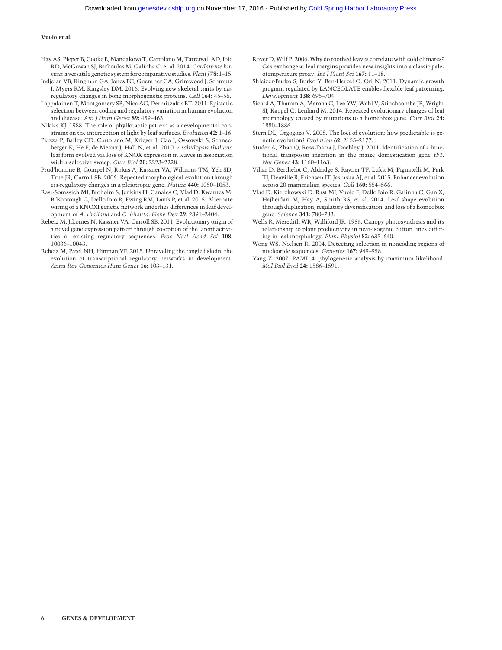#### Vuolo et al.

- Hay AS, Pieper B, Cooke E, Mandakova T, Cartolano M, Tattersall AD, Ioio RD, McGowan SJ, Barkoulas M, Galinha C, et al. 2014. Cardamine hirsuta: a versatile genetic system for comparative studies. Plant  $[78: 1-15]$ .
- Indjeian VB, Kingman GA, Jones FC, Guenther CA, Grimwood J, Schmutz J, Myers RM, Kingsley DM. 2016. Evolving new skeletal traits by cisregulatory changes in bone morphogenetic proteins. Cell 164: 45–56.
- Lappalainen T, Montgomery SB, Nica AC, Dermitzakis ET. 2011. Epistatic selection between coding and regulatory variation in human evolution and disease. Am J Hum Genet 89: 459–463.
- Niklas KJ. 1988. The role of phyllotactic pattern as a developmental constraint on the interception of light by leaf surfaces. Evolution 42: 1–16.
- Piazza P, Bailey CD, Cartolano M, Krieger J, Cao J, Ossowski S, Schneeberger K, He F, de Meaux J, Hall N, et al. 2010. Arabidopsis thaliana leaf form evolved via loss of KNOX expression in leaves in association with a selective sweep. Curr Biol 20: 2223–2228.
- Prud'homme B, Gompel N, Rokas A, Kassner VA, Williams TM, Yeh SD, True JR, Carroll SB. 2006. Repeated morphological evolution through cis-regulatory changes in a pleiotropic gene. Nature 440: 1050–1053.
- Rast-Somssich MI, Broholm S, Jenkins H, Canales C, Vlad D, Kwantes M, Bilsborough G, Dello Ioio R, Ewing RM, Laufs P, et al. 2015. Alternate wiring of a KNOXI genetic network underlies differences in leaf development of A. thaliana and C. hirsuta. Gene Dev 29: 2391–2404.
- Rebeiz M, Jikomes N, Kassner VA, Carroll SB. 2011. Evolutionary origin of a novel gene expression pattern through co-option of the latent activities of existing regulatory sequences. Proc Natl Acad Sci 108: 10036–10043.
- Rebeiz M, Patel NH, Hinman VF. 2015. Unraveling the tangled skein: the evolution of transcriptional regulatory networks in development. Annu Rev Genomics Hum Genet 16: 103–131.
- Royer D, Wilf P. 2006. Why do toothed leaves correlate with cold climates? Gas exchange at leaf margins provides new insights into a classic paleotemperature proxy. Int J Plant Sci 167: 11–18.
- Shleizer-Burko S, Burko Y, Ben-Herzel O, Ori N. 2011. Dynamic growth program regulated by LANCEOLATE enables flexible leaf patterning. Development 138: 695–704.
- Sicard A, Thamm A, Marona C, Lee YW, Wahl V, Stinchcombe JR, Wright SI, Kappel C, Lenhard M. 2014. Repeated evolutionary changes of leaf morphology caused by mutations to a homeobox gene. Curr Biol 24: 1880–1886.
- Stern DL, Orgogozo V. 2008. The loci of evolution: how predictable is genetic evolution? Evolution 62: 2155–2177.
- Studer A, Zhao Q, Ross-Ibarra J, Doebley J. 2011. Identification of a functional transposon insertion in the maize domestication gene tb1. Nat Genet 43: 1160–1163.
- Villar D, Berthelot C, Aldridge S, Rayner TF, Lukk M, Pignatelli M, Park TJ, Deaville R, Erichsen JT, Jasinska AJ, et al. 2015. Enhancer evolution across 20 mammalian species. Cell 160: 554–566.
- Vlad D, Kierzkowski D, Rast MI, Vuolo F, Dello Ioio R, Galinha C, Gan X, Hajheidari M, Hay A, Smith RS, et al. 2014. Leaf shape evolution through duplication, regulatory diversification, and loss of a homeobox gene. Science 343: 780–783.
- Wells R, Meredith WR, Williford JR. 1986. Canopy photosynthesis and its relationship to plant productivity in near-isogenic cotton lines differing in leaf morphology. Plant Physiol 82: 635–640.
- Wong WS, Nielsen R. 2004. Detecting selection in noncoding regions of nucleotide sequences. Genetics 167: 949–958.
- Yang Z. 2007. PAML 4: phylogenetic analysis by maximum likelihood. Mol Biol Evol 24: 1586–1591.